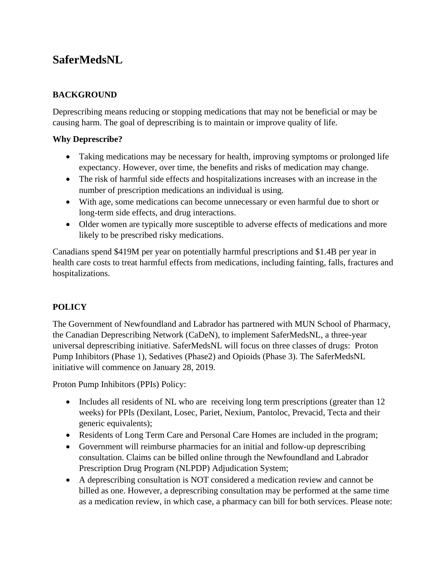# **SaferMedsNL**

# **BACKGROUND**

Deprescribing means reducing or stopping medications that may not be beneficial or may be causing harm. The goal of deprescribing is to maintain or improve quality of life.

## **Why Deprescribe?**

- Taking medications may be necessary for health, improving symptoms or prolonged life expectancy. However, over time, the benefits and risks of medication may change.
- The risk of harmful side effects and hospitalizations increases with an increase in the number of prescription medications an individual is using.
- With age, some medications can become unnecessary or even harmful due to short or long-term side effects, and drug interactions.
- Older women are typically more susceptible to adverse effects of medications and more likely to be prescribed risky medications.

Canadians spend \$419M per year on potentially harmful prescriptions and \$1.4B per year in health care costs to treat harmful effects from medications, including fainting, falls, fractures and hospitalizations.

# **POLICY**

The Government of Newfoundland and Labrador has partnered with MUN School of Pharmacy, the Canadian Deprescribing Network (CaDeN), to implement SaferMedsNL, a three-year universal deprescribing initiative. SaferMedsNL will focus on three classes of drugs: Proton Pump Inhibitors (Phase 1), Sedatives (Phase2) and Opioids (Phase 3). The SaferMedsNL initiative will commence on January 28, 2019.

Proton Pump Inhibitors (PPIs) Policy:

- Includes all residents of NL who are receiving long term prescriptions (greater than 12 weeks) for PPIs (Dexilant, Losec, Pariet, Nexium, Pantoloc, Prevacid, Tecta and their generic equivalents);
- Residents of Long Term Care and Personal Care Homes are included in the program;
- Government will reimburse pharmacies for an initial and follow-up deprescribing consultation. Claims can be billed online through the Newfoundland and Labrador Prescription Drug Program (NLPDP) Adjudication System;
- A deprescribing consultation is NOT considered a medication review and cannot be billed as one. However, a deprescribing consultation may be performed at the same time as a medication review, in which case, a pharmacy can bill for both services. Please note: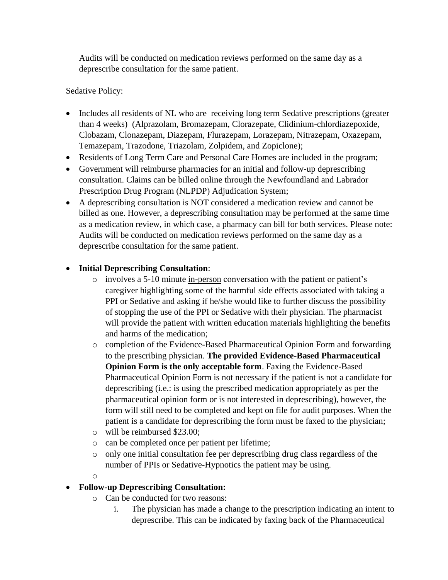Audits will be conducted on medication reviews performed on the same day as a deprescribe consultation for the same patient.

## Sedative Policy:

- Includes all residents of NL who are receiving long term Sedative prescriptions (greater than 4 weeks) (Alprazolam, Bromazepam, Clorazepate, Clidinium-chlordiazepoxide, Clobazam, Clonazepam, Diazepam, Flurazepam, Lorazepam, Nitrazepam, Oxazepam, Temazepam, Trazodone, Triazolam, Zolpidem, and Zopiclone);
- Residents of Long Term Care and Personal Care Homes are included in the program;
- Government will reimburse pharmacies for an initial and follow-up deprescribing consultation. Claims can be billed online through the Newfoundland and Labrador Prescription Drug Program (NLPDP) Adjudication System;
- A deprescribing consultation is NOT considered a medication review and cannot be billed as one. However, a deprescribing consultation may be performed at the same time as a medication review, in which case, a pharmacy can bill for both services. Please note: Audits will be conducted on medication reviews performed on the same day as a deprescribe consultation for the same patient.

#### • **Initial Deprescribing Consultation**:

- o involves a 5-10 minute in-person conversation with the patient or patient's caregiver highlighting some of the harmful side effects associated with taking a PPI or Sedative and asking if he/she would like to further discuss the possibility of stopping the use of the PPI or Sedative with their physician. The pharmacist will provide the patient with written education materials highlighting the benefits and harms of the medication;
- o completion of the Evidence-Based Pharmaceutical Opinion Form and forwarding to the prescribing physician. **The provided Evidence-Based Pharmaceutical Opinion Form is the only acceptable form**. Faxing the Evidence-Based Pharmaceutical Opinion Form is not necessary if the patient is not a candidate for deprescribing (i.e.: is using the prescribed medication appropriately as per the pharmaceutical opinion form or is not interested in deprescribing), however, the form will still need to be completed and kept on file for audit purposes. When the patient is a candidate for deprescribing the form must be faxed to the physician;
- o will be reimbursed \$23.00;
- o can be completed once per patient per lifetime;
- o only one initial consultation fee per deprescribing drug class regardless of the number of PPIs or Sedative-Hypnotics the patient may be using.
- o

#### • **Follow-up Deprescribing Consultation:**

- o Can be conducted for two reasons:
	- i. The physician has made a change to the prescription indicating an intent to deprescribe. This can be indicated by faxing back of the Pharmaceutical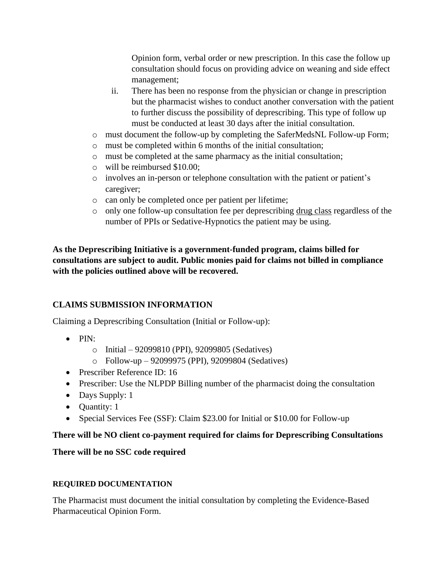Opinion form, verbal order or new prescription. In this case the follow up consultation should focus on providing advice on weaning and side effect management;

- ii. There has been no response from the physician or change in prescription but the pharmacist wishes to conduct another conversation with the patient to further discuss the possibility of deprescribing. This type of follow up must be conducted at least 30 days after the initial consultation.
- o must document the follow-up by completing the SaferMedsNL Follow-up Form;
- o must be completed within 6 months of the initial consultation;
- o must be completed at the same pharmacy as the initial consultation;
- o will be reimbursed \$10.00;
- o involves an in-person or telephone consultation with the patient or patient's caregiver;
- o can only be completed once per patient per lifetime;
- o only one follow-up consultation fee per deprescribing drug class regardless of the number of PPIs or Sedative-Hypnotics the patient may be using.

**As the Deprescribing Initiative is a government-funded program, claims billed for consultations are subject to audit. Public monies paid for claims not billed in compliance with the policies outlined above will be recovered.** 

## **CLAIMS SUBMISSION INFORMATION**

Claiming a Deprescribing Consultation (Initial or Follow-up):

- $\bullet$  PIN:
	- o Initial 92099810 (PPI), 92099805 (Sedatives)
	- o Follow-up 92099975 (PPI), 92099804 (Sedatives)
- Prescriber Reference ID: 16
- Prescriber: Use the NLPDP Billing number of the pharmacist doing the consultation
- Days Supply: 1
- Quantity: 1
- Special Services Fee (SSF): Claim \$23.00 for Initial or \$10.00 for Follow-up

#### **There will be NO client co-payment required for claims for Deprescribing Consultations**

**There will be no SSC code required**

#### **REQUIRED DOCUMENTATION**

The Pharmacist must document the initial consultation by completing the Evidence-Based Pharmaceutical Opinion Form.